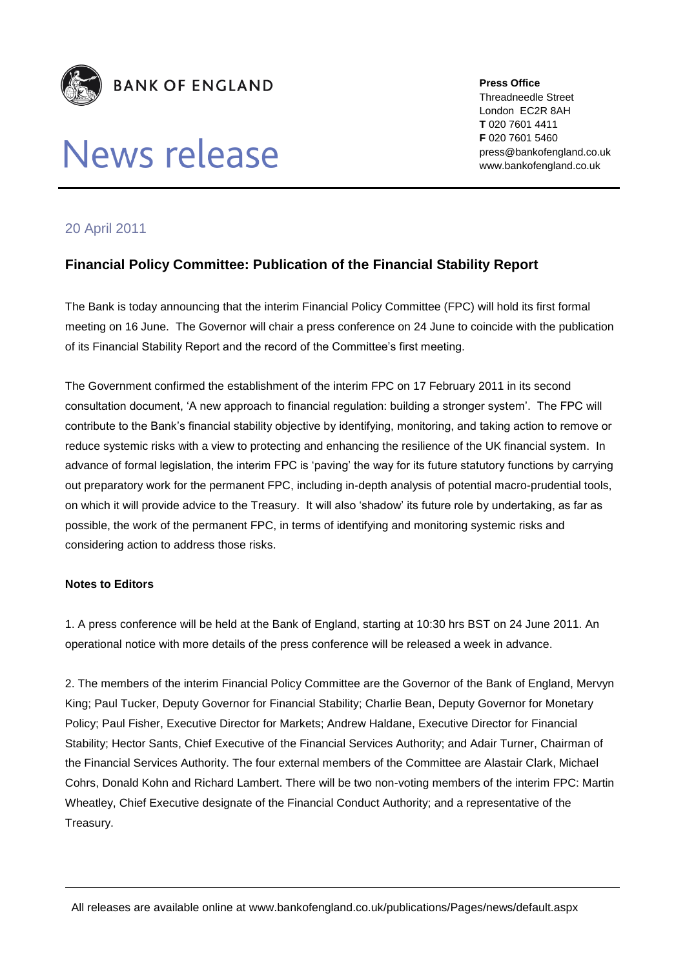

## News release

**Press Office** Threadneedle Street London EC2R 8AH **T** 020 7601 4411 **F** 020 7601 5460 press@bankofengland.co.uk www.bankofengland.co.uk

## 20 April 2011

## **Financial Policy Committee: Publication of the Financial Stability Report**

The Bank is today announcing that the interim Financial Policy Committee (FPC) will hold its first formal meeting on 16 June. The Governor will chair a press conference on 24 June to coincide with the publication of its Financial Stability Report and the record of the Committee's first meeting.

The Government confirmed the establishment of the interim FPC on 17 February 2011 in its second consultation document, 'A new approach to financial regulation: building a stronger system'. The FPC will contribute to the Bank's financial stability objective by identifying, monitoring, and taking action to remove or reduce systemic risks with a view to protecting and enhancing the resilience of the UK financial system. In advance of formal legislation, the interim FPC is 'paving' the way for its future statutory functions by carrying out preparatory work for the permanent FPC, including in-depth analysis of potential macro-prudential tools, on which it will provide advice to the Treasury. It will also 'shadow' its future role by undertaking, as far as possible, the work of the permanent FPC, in terms of identifying and monitoring systemic risks and considering action to address those risks.

## **Notes to Editors**

1. A press conference will be held at the Bank of England, starting at 10:30 hrs BST on 24 June 2011. An operational notice with more details of the press conference will be released a week in advance.

2. The members of the interim Financial Policy Committee are the Governor of the Bank of England, Mervyn King; Paul Tucker, Deputy Governor for Financial Stability; Charlie Bean, Deputy Governor for Monetary Policy; Paul Fisher, Executive Director for Markets; Andrew Haldane, Executive Director for Financial Stability; Hector Sants, Chief Executive of the Financial Services Authority; and Adair Turner, Chairman of the Financial Services Authority. The four external members of the Committee are Alastair Clark, Michael Cohrs, Donald Kohn and Richard Lambert. There will be two non-voting members of the interim FPC: Martin Wheatley, Chief Executive designate of the Financial Conduct Authority; and a representative of the Treasury.